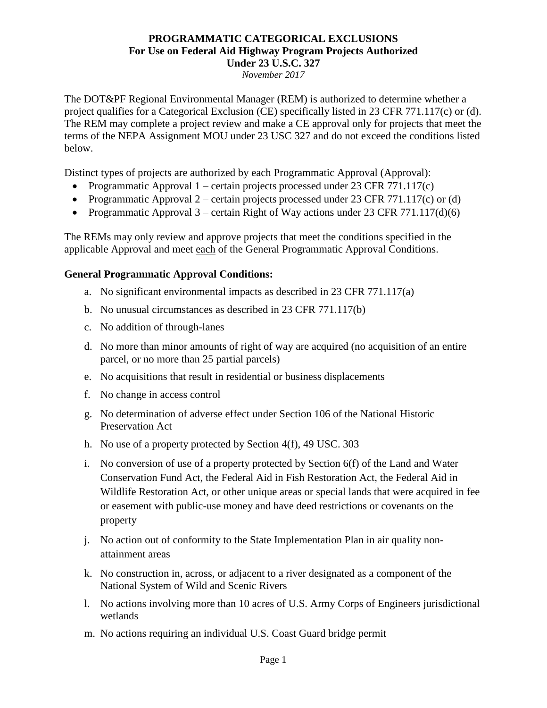### **PROGRAMMATIC CATEGORICAL EXCLUSIONS For Use on Federal Aid Highway Program Projects Authorized Under 23 U.S.C. 327**

*November 2017*

The DOT&PF Regional Environmental Manager (REM) is authorized to determine whether a project qualifies for a Categorical Exclusion (CE) specifically listed in 23 CFR 771.117(c) or (d). The REM may complete a project review and make a CE approval only for projects that meet the terms of the NEPA Assignment MOU under 23 USC 327 and do not exceed the conditions listed below.

Distinct types of projects are authorized by each Programmatic Approval (Approval):

- Programmatic Approval 1 certain projects processed under 23 CFR 771.117(c)
- Programmatic Approval 2 certain projects processed under 23 CFR 771.117(c) or (d)
- Programmatic Approval 3 certain Right of Way actions under 23 CFR 771.117(d)(6)

The REMs may only review and approve projects that meet the conditions specified in the applicable Approval and meet each of the General Programmatic Approval Conditions.

#### **General Programmatic Approval Conditions:**

- a. No significant environmental impacts as described in 23 CFR 771.117(a)
- b. No unusual circumstances as described in 23 CFR 771.117(b)
- c. No addition of through-lanes
- d. No more than minor amounts of right of way are acquired (no acquisition of an entire parcel, or no more than 25 partial parcels)
- e. No acquisitions that result in residential or business displacements
- f. No change in access control
- g. No determination of adverse effect under Section 106 of the National Historic Preservation Act
- h. No use of a property protected by Section 4(f), 49 USC. 303
- i. No conversion of use of a property protected by Section 6(f) of the Land and Water Conservation Fund Act, the Federal Aid in Fish Restoration Act, the Federal Aid in Wildlife Restoration Act, or other unique areas or special lands that were acquired in fee or easement with public-use money and have deed restrictions or covenants on the property
- j. No action out of conformity to the State Implementation Plan in air quality nonattainment areas
- k. No construction in, across, or adjacent to a river designated as a component of the National System of Wild and Scenic Rivers
- l. No actions involving more than 10 acres of U.S. Army Corps of Engineers jurisdictional wetlands
- m. No actions requiring an individual U.S. Coast Guard bridge permit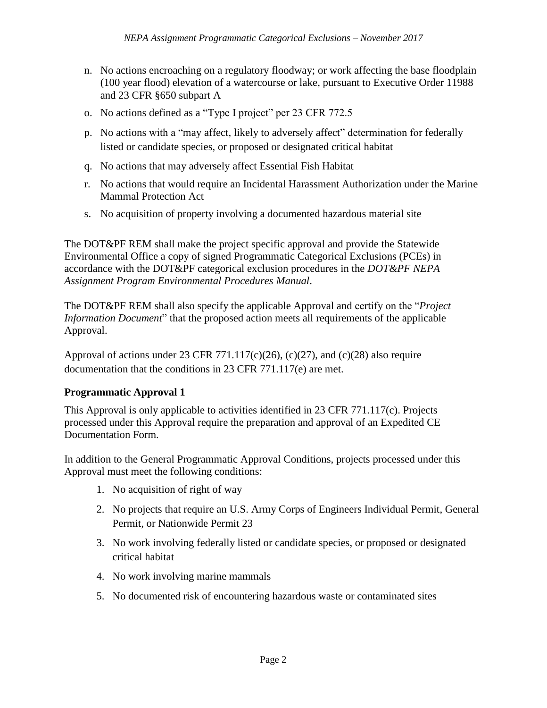- n. No actions encroaching on a regulatory floodway; or work affecting the base floodplain (100 year flood) elevation of a watercourse or lake, pursuant to Executive Order 11988 and 23 CFR §650 subpart A
- o. No actions defined as a "Type I project" per 23 CFR 772.5
- p. No actions with a "may affect, likely to adversely affect" determination for federally listed or candidate species, or proposed or designated critical habitat
- q. No actions that may adversely affect Essential Fish Habitat
- r. No actions that would require an Incidental Harassment Authorization under the Marine Mammal Protection Act
- s. No acquisition of property involving a documented hazardous material site

The DOT&PF REM shall make the project specific approval and provide the Statewide Environmental Office a copy of signed Programmatic Categorical Exclusions (PCEs) in accordance with the DOT&PF categorical exclusion procedures in the *DOT&PF NEPA Assignment Program Environmental Procedures Manual*.

The DOT&PF REM shall also specify the applicable Approval and certify on the "*Project Information Document*" that the proposed action meets all requirements of the applicable Approval.

Approval of actions under 23 CFR 771.117(c)(26), (c)(27), and (c)(28) also require documentation that the conditions in 23 CFR 771.117(e) are met.

### **Programmatic Approval 1**

This Approval is only applicable to activities identified in 23 CFR 771.117(c). Projects processed under this Approval require the preparation and approval of an Expedited CE Documentation Form.

In addition to the General Programmatic Approval Conditions, projects processed under this Approval must meet the following conditions:

- 1. No acquisition of right of way
- 2. No projects that require an U.S. Army Corps of Engineers Individual Permit, General Permit, or Nationwide Permit 23
- 3. No work involving federally listed or candidate species, or proposed or designated critical habitat
- 4. No work involving marine mammals
- 5. No documented risk of encountering hazardous waste or contaminated sites